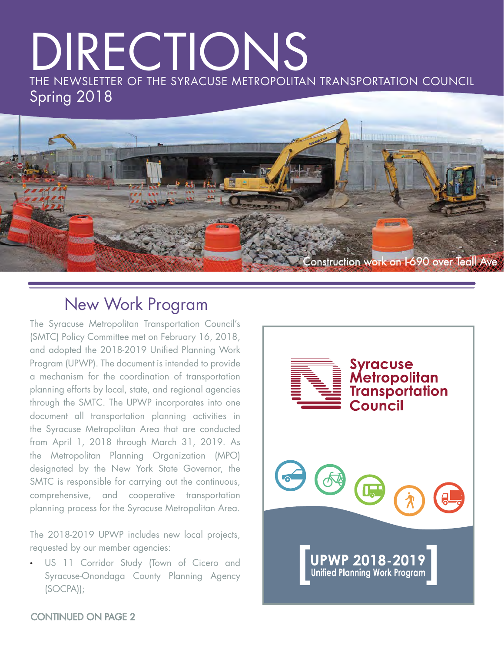# DIRECTIONS THE NEWSLETTER OF THE SYRACUSE METROPOLITAN TRANSPORTATION COUNCIL Spring 2018



### New Work Program

The Syracuse Metropolitan Transportation Council's (SMTC) Policy Committee met on February 16, 2018, and adopted the 2018-2019 Unified Planning Work Program (UPWP). The document is intended to provide a mechanism for the coordination of transportation planning efforts by local, state, and regional agencies through the SMTC. The UPWP incorporates into one document all transportation planning activities in the Syracuse Metropolitan Area that are conducted from April 1, 2018 through March 31, 2019. As the Metropolitan Planning Organization (MPO) designated by the New York State Governor, the SMTC is responsible for carrying out the continuous, comprehensive, and cooperative transportation planning process for the Syracuse Metropolitan Area.

The 2018-2019 UPWP includes new local projects, requested by our member agencies:

• US 11 Corridor Study (Town of Cicero and Syracuse-Onondaga County Planning Agency (SOCPA));



### [CONTINUED ON PAGE 2](#page-1-0)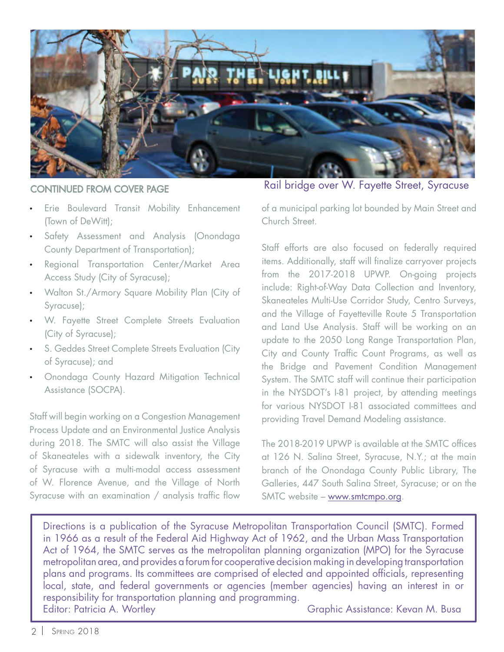<span id="page-1-0"></span>

- Erie Boulevard Transit Mobility Enhancement (Town of DeWitt);
- Safety Assessment and Analysis (Onondaga County Department of Transportation);
- Regional Transportation Center/Market Area Access Study (City of Syracuse);
- Walton St./Armory Square Mobility Plan (City of Syracuse);
- W. Fayette Street Complete Streets Evaluation (City of Syracuse);
- S. Geddes Street Complete Streets Evaluation (City of Syracuse); and
- Onondaga County Hazard Mitigation Technical Assistance (SOCPA).

Staff will begin working on a Congestion Management Process Update and an Environmental Justice Analysis during 2018. The SMTC will also assist the Village of Skaneateles with a sidewalk inventory, the City of Syracuse with a multi-modal access assessment of W. Florence Avenue, and the Village of North Syracuse with an examination  $/$  analysis traffic flow

Rail bridge over W. Fayette Street, Syracuse CONTINUED FROM COVER PAGE

of a municipal parking lot bounded by Main Street and Church Street.

Staff efforts are also focused on federally required items. Additionally, staff will finalize carryover projects from the 2017-2018 UPWP. On-going projects include: Right-of-Way Data Collection and Inventory, Skaneateles Multi-Use Corridor Study, Centro Surveys, and the Village of Fayetteville Route 5 Transportation and Land Use Analysis. Staff will be working on an update to the 2050 Long Range Transportation Plan, City and County Traffic Count Programs, as well as the Bridge and Pavement Condition Management System. The SMTC staff will continue their participation in the NYSDOT's I-81 project, by attending meetings for various NYSDOT I-81 associated committees and providing Travel Demand Modeling assistance.

The 2018-2019 UPWP is available at the SMTC offices at 126 N. Salina Street, Syracuse, N.Y.; at the main branch of the Onondaga County Public Library, The Galleries, 447 South Salina Street, Syracuse; or on the SMTC website – www.smtcmpo.org.

Directions is a publication of the Syracuse Metropolitan Transportation Council (SMTC). Formed in 1966 as a result of the Federal Aid Highway Act of 1962, and the Urban Mass Transportation Act of 1964, the SMTC serves as the metropolitan planning organization (MPO) for the Syracuse metropolitan area, and provides a forum for cooperative decision making in developing transportation plans and programs. Its committees are comprised of elected and appointed officials, representing local, state, and federal governments or agencies (member agencies) having an interest in or responsibility for transportation planning and programming. Editor: Patricia A. Wortley Christian Communication: Craphic Assistance: Kevan M. Busa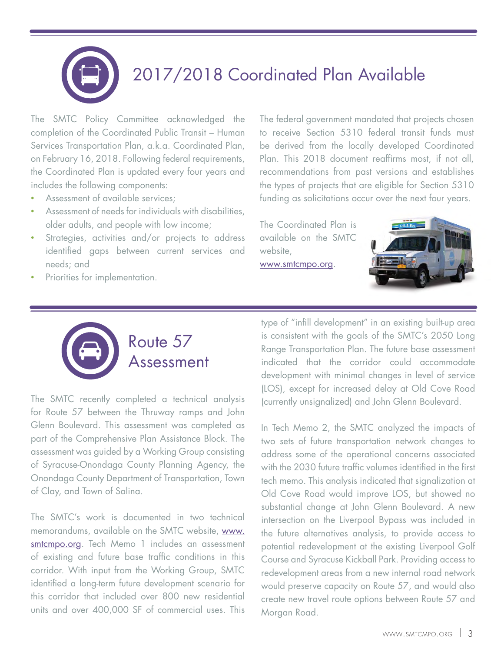# 2017/2018 Coordinated Plan Available

The SMTC Policy Committee acknowledged the [completion of the Coordinated Public Transit – Human](http://www.smtcmpo.org/docs/reports/Final_2017-2018_Coordinated_Plan.pdf)  Services Transportation Plan, a.k.a. Coordinated Plan, on February 16, 2018. Following federal requirements, the Coordinated Plan is updated every four years and includes the following components:

- Assessment of available services:
- Assessment of needs for individuals with disabilities, older adults, and people with low income;
- Strategies, activities and/or projects to address identified gaps between current services and needs; and
- Priorities for implementation.

The federal government mandated that projects chosen to receive Section 5310 federal transit funds must be derived from the locally developed Coordinated Plan. This 2018 document reaffirms most, if not all, recommendations from past versions and establishes the types of projects that are eligible for Section 5310 funding as solicitations occur over the next four years.

The Coordinated Plan is available on the SMTC website, www.smtcmpo.org.





The SMTC recently completed a technical analysis for [Route 57](http://www.smtcmpo.org/finalreps.asp?fy=2018&ShowAll=0) between the Thruway ramps and John Glenn Boulevard. This assessment was completed as part of the Comprehensive Plan Assistance Block. The assessment was guided by a Working Group consisting of Syracuse-Onondaga County Planning Agency, the Onondaga County Department of Transportation, Town of Clay, and Town of Salina.

The SMTC's work is documented in two technical memorandums, available on the SMTC website, www. smtcmpo.org. Tech Memo 1 includes an assessment of existing and future base traffic conditions in this corridor. With input from the Working Group, SMTC identified a long-term future development scenario for this corridor that included over 800 new residential units and over 400,000 SF of commercial uses. This type of "infill development" in an existing built-up area is consistent with the goals of the SMTC's 2050 Long Range Transportation Plan. The future base assessment indicated that the corridor could accommodate development with minimal changes in level of service (LOS), except for increased delay at Old Cove Road (currently unsignalized) and John Glenn Boulevard.

In Tech Memo 2, the SMTC analyzed the impacts of two sets of future transportation network changes to address some of the operational concerns associated with the 2030 future traffic volumes identified in the first tech memo. This analysis indicated that signalization at Old Cove Road would improve LOS, but showed no substantial change at John Glenn Boulevard. A new intersection on the Liverpool Bypass was included in the future alternatives analysis, to provide access to potential redevelopment at the existing Liverpool Golf Course and Syracuse Kickball Park. Providing access to redevelopment areas from a new internal road network would preserve capacity on Route 57, and would also create new travel route options between Route 57 and Morgan Road.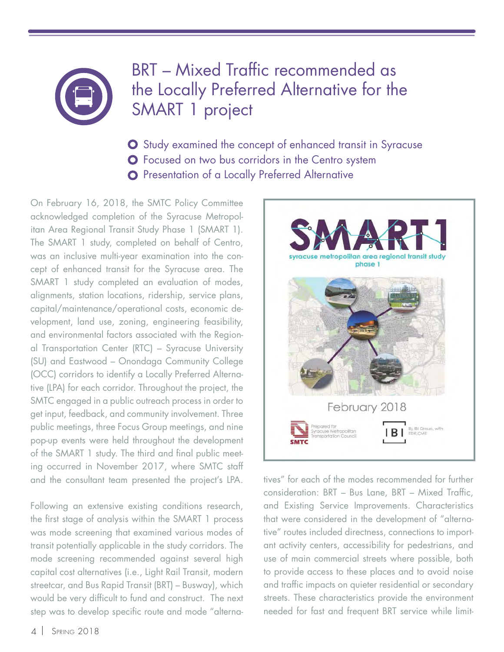## BRT – Mixed Traffic recommended as the Locally Preferred Alternative for the SMART 1 project

- **O** Study examined the concept of enhanced transit in Syracuse **O** Focused on two bus corridors in the Centro system
- **O** Presentation of a Locally Preferred Alternative

On February 16, 2018, the SMTC Policy Committee acknowledged completion of the Syracuse Metropol[itan Area Regional Transit Study Phase 1 \(SMART 1\).](http://www.smtcmpo.org/SMART/docs/Smart_1_Final_Report/SMART_1_Final_Report.pdf)  The SMART 1 study, completed on behalf of Centro, was an inclusive multi-year examination into the concept of enhanced transit for the Syracuse area. The SMART 1 study completed an evaluation of modes, alignments, station locations, ridership, service plans, capital/maintenance/operational costs, economic development, land use, zoning, engineering feasibility, and environmental factors associated with the Regional Transportation Center (RTC) – Syracuse University (SU) and Eastwood – Onondaga Community College (OCC) corridors to identify a Locally Preferred Alternative (LPA) for each corridor. Throughout the project, the SMTC engaged in a public outreach process in order to get input, feedback, and community involvement. Three public meetings, three Focus Group meetings, and nine pop-up events were held throughout the development of the SMART 1 study. The third and final public meeting occurred in November 2017, where SMTC staff and the consultant team presented the project's LPA.

Following an extensive existing conditions research, the first stage of analysis within the SMART 1 process was mode screening that examined various modes of transit potentially applicable in the study corridors. The mode screening recommended against several high capital cost alternatives (i.e., Light Rail Transit, modern streetcar, and Bus Rapid Transit (BRT) – Busway), which would be very difficult to fund and construct. The next step was to develop specific route and mode "alterna-



tives" for each of the modes recommended for further consideration: BRT - Bus Lane, BRT - Mixed Traffic, and Existing Service Improvements. Characteristics that were considered in the development of "alternative" routes included directness, connections to important activity centers, accessibility for pedestrians, and use of main commercial streets where possible, both to provide access to these places and to avoid noise and traffic impacts on quieter residential or secondary streets. These characteristics provide the environment needed for fast and frequent BRT service while limit-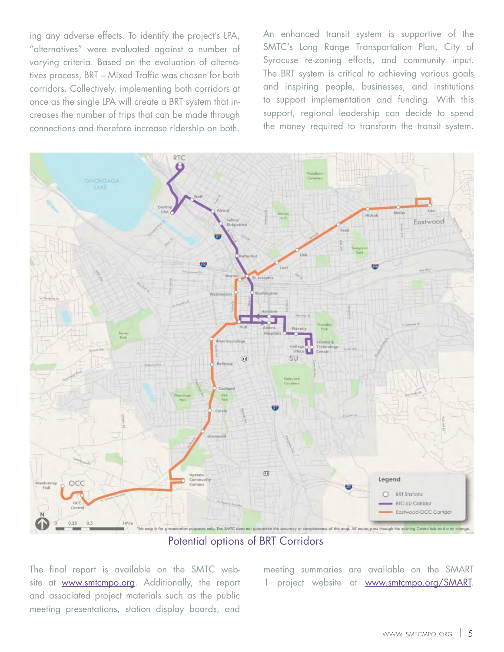ing any adverse effects. To identify the project's LPA, "alternatives" were evaluated against a number of varying criteria. Based on the evaluation of alternatives process, BRT – Mixed Traffic was chosen for both corridors. Collectively, implementing both corridors at once as the single LPA will create a BRT system that increases the number of trips that can be made through connections and therefore increase ridership on both.

An enhanced transit system is supportive of the SMTC's Long Range Transportation Plan, City of Syracuse re-zoning efforts, and community input. The BRT system is critical to achieving various goals and inspiring people, businesses, and institutions to support implementation and funding. With this support, regional leadership can decide to spend the money required to transform the transit system.



Potential options of BRT Corridors

The final report is available on the SMTC website at www.smtcmpo.org. Additionally, the report and associated project materials such as the public meeting presentations, station display boards, and

meeting summaries are available on the SMART 1 project website at www.smtcmpo.org/SMART.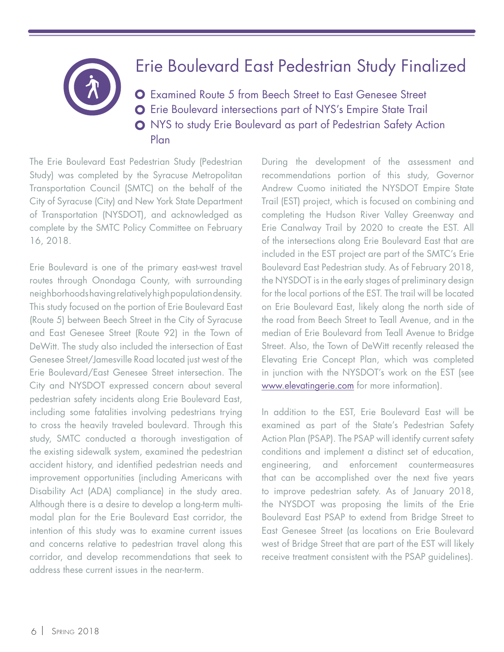### Erie Boulevard East Pedestrian Study Finalized

Examined Route 5 from Beech Street to East Genesee Street **O** Erie Boulevard intersections part of NYS's Empire State Trail NYS to study Erie Boulevard as part of Pedestrian Safety Action Plan

The [Erie Boulevard East Pedestrian Study](http://www.smtcmpo.org/docs/reports/FINALEriePedDoc_withAPP.pdf) (Pedestrian Study) was completed by the Syracuse Metropolitan Transportation Council (SMTC) on the behalf of the City of Syracuse (City) and New York State Department of Transportation (NYSDOT), and acknowledged as complete by the SMTC Policy Committee on February 16, 2018.

Erie Boulevard is one of the primary east-west travel routes through Onondaga County, with surrounding neighborhoods having relatively high population density. This study focused on the portion of Erie Boulevard East (Route 5) between Beech Street in the City of Syracuse and East Genesee Street (Route 92) in the Town of DeWitt. The study also included the intersection of East Genesee Street/Jamesville Road located just west of the Erie Boulevard/East Genesee Street intersection. The City and NYSDOT expressed concern about several pedestrian safety incidents along Erie Boulevard East, including some fatalities involving pedestrians trying to cross the heavily traveled boulevard. Through this study, SMTC conducted a thorough investigation of the existing sidewalk system, examined the pedestrian accident history, and identified pedestrian needs and improvement opportunities (including Americans with Disability Act (ADA) compliance) in the study area. Although there is a desire to develop a long-term multimodal plan for the Erie Boulevard East corridor, the intention of this study was to examine current issues and concerns relative to pedestrian travel along this corridor, and develop recommendations that seek to address these current issues in the near-term.

During the development of the assessment and recommendations portion of this study, Governor Andrew Cuomo initiated the NYSDOT Empire State Trail (EST) project, which is focused on combining and completing the Hudson River Valley Greenway and Erie Canalway Trail by 2020 to create the EST. All of the intersections along Erie Boulevard East that are included in the EST project are part of the SMTC's Erie Boulevard East Pedestrian study. As of February 2018, the NYSDOT is in the early stages of preliminary design for the local portions of the EST. The trail will be located on Erie Boulevard East, likely along the north side of the road from Beech Street to Teall Avenue, and in the median of Erie Boulevard from Teall Avenue to Bridge Street. Also, the Town of DeWitt recently released the Elevating Erie Concept Plan, which was completed in junction with the NYSDOT's work on the EST (see www.elevatingerie.com for more information).

In addition to the EST, Erie Boulevard East will be examined as part of the State's Pedestrian Safety Action Plan (PSAP). The PSAP will identify current safety conditions and implement a distinct set of education, engineering, and enforcement countermeasures that can be accomplished over the next five years to improve pedestrian safety. As of January 2018, the NYSDOT was proposing the limits of the Erie Boulevard East PSAP to extend from Bridge Street to East Genesee Street (as locations on Erie Boulevard west of Bridge Street that are part of the EST will likely receive treatment consistent with the PSAP guidelines).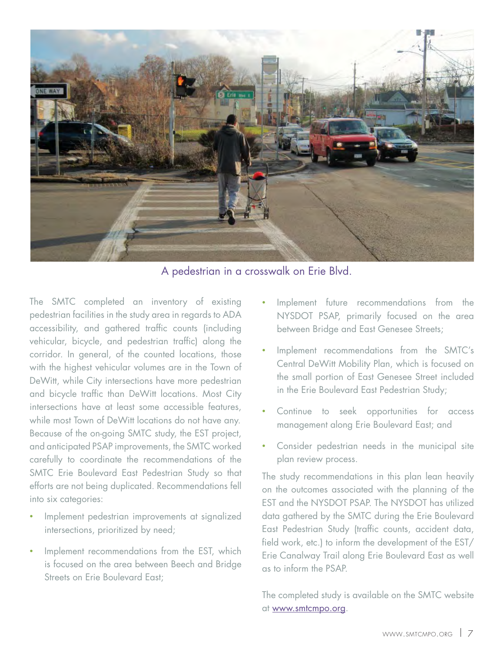

A pedestrian in a crosswalk on Erie Blvd.

The SMTC completed an inventory of existing pedestrian facilities in the study area in regards to ADA accessibility, and gathered traffic counts (including vehicular, bicycle, and pedestrian traffic) along the corridor. In general, of the counted locations, those with the highest vehicular volumes are in the Town of DeWitt, while City intersections have more pedestrian and bicycle traffic than DeWitt locations. Most City intersections have at least some accessible features, while most Town of DeWitt locations do not have any. Because of the on-going SMTC study, the EST project, and anticipated PSAP improvements, the SMTC worked carefully to coordinate the recommendations of the SMTC Erie Boulevard East Pedestrian Study so that efforts are not being duplicated. Recommendations fell into six categories:

- Implement pedestrian improvements at signalized intersections, prioritized by need;
- Implement recommendations from the EST, which is focused on the area between Beech and Bridge Streets on Erie Boulevard East;
- Implement future recommendations from the NYSDOT PSAP, primarily focused on the area between Bridge and East Genesee Streets;
- Implement recommendations from the SMTC's Central DeWitt Mobility Plan, which is focused on the small portion of East Genesee Street included in the Erie Boulevard East Pedestrian Study;
- Continue to seek opportunities for access management along Erie Boulevard East; and
- Consider pedestrian needs in the municipal site plan review process.

The study recommendations in this plan lean heavily on the outcomes associated with the planning of the EST and the NYSDOT PSAP. The NYSDOT has utilized data gathered by the SMTC during the Erie Boulevard East Pedestrian Study (traffic counts, accident data, field work, etc.) to inform the development of the EST/ Erie Canalway Trail along Erie Boulevard East as well as to inform the PSAP.

The completed study is available on the SMTC website at www.smtcmpo.org.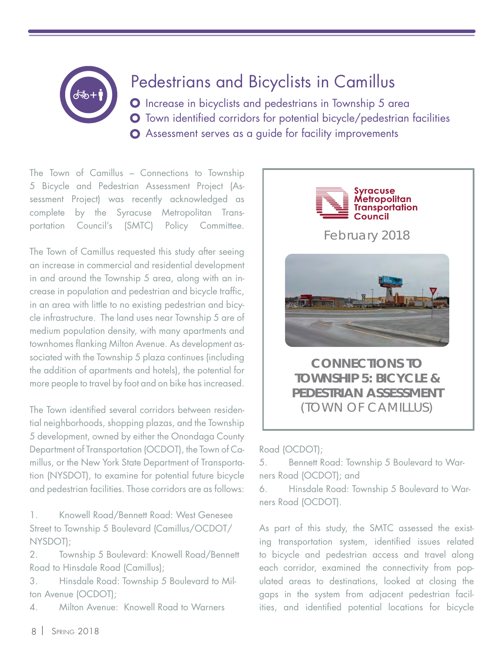## Pedestrians and Bicyclists in Camillus

O Increase in bicyclists and pedestrians in Township 5 area **O** Town identified corridors for potential bicycle/pedestrian facilities Assessment serves as a guide for facility improvements

[The Town of Camillus – Connections to Township](http://www.smtcmpo.org/docs/reports/FINALCamillusBPdoc_wApp.pdf) 5 Bicycle and Pedestrian Assessment Project (Assessment Project) was recently acknowledged as complete by the Syracuse Metropolitan Transportation Council's (SMTC) Policy Committee.

The Town of Camillus requested this study after seeing an increase in commercial and residential development in and around the Township 5 area, along with an increase in population and pedestrian and bicycle traffic, in an area with little to no existing pedestrian and bicycle infrastructure. The land uses near Township 5 are of medium population density, with many apartments and townhomes flanking Milton Avenue. As development associated with the Township 5 plaza continues (including the addition of apartments and hotels), the potential for more people to travel by foot and on bike has increased.

The Town identified several corridors between residential neighborhoods, shopping plazas, and the Township 5 development, owned by either the Onondaga County Department of Transportation (OCDOT), the Town of Camillus, or the New York State Department of Transportation (NYSDOT), to examine for potential future bicycle and pedestrian facilities. Those corridors are as follows:

1. Knowell Road/Bennett Road: West Genesee Street to Township 5 Boulevard (Camillus/OCDOT/ NYSDOT);

2. Township 5 Boulevard: Knowell Road/Bennett Road to Hinsdale Road (Camillus);

3. Hinsdale Road: Township 5 Boulevard to Milton Avenue (OCDOT);

4. Milton Avenue: Knowell Road to Warners



### **TOWNSHIP 5: BICYCLE & PEDESTRIAN ASSESSMENT** (TOWN OF CAMILLUS)

Road (OCDOT);

5. Bennett Road: Township 5 Boulevard to Warners Road (OCDOT); and

6. Hinsdale Road: Township 5 Boulevard to Warners Road (OCDOT).

As part of this study, the SMTC assessed the existing transportation system, identified issues related to bicycle and pedestrian access and travel along each corridor, examined the connectivity from populated areas to destinations, looked at closing the gaps in the system from adjacent pedestrian facilities, and identified potential locations for bicycle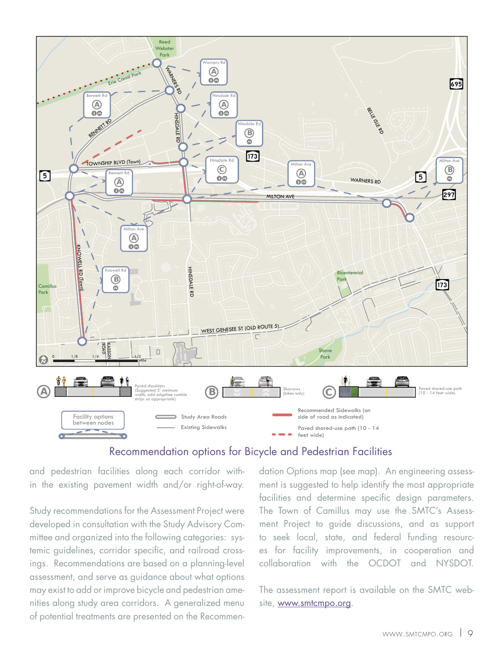

### Recommendation options for Bicycle and Pedestrian Facilities

and pedestrian facilities along each corridor within the existing pavement width and/or right-of-way.

Study recommendations for the Assessment Project were developed in consultation with the Study Advisory Committee and organized into the following categories: systemic guidelines, corridor specific, and railroad crossings. Recommendations are based on a planning-level assessment, and serve as guidance about what options may exist to add or improve bicycle and pedestrian amenities along study area corridors. A generalized menu of potential treatments are presented on the Recommendation Options map (see map). An engineering assessment is suggested to help identify the most appropriate facilities and determine specific design parameters. The Town of Camillus may use the SMTC's Assessment Project to guide discussions, and as support to seek local, state, and federal funding resources for facility improvements, in cooperation and collaboration with the OCDOT and NYSDOT.

The assessment report is available on the SMTC website, www.smtcmpo.org.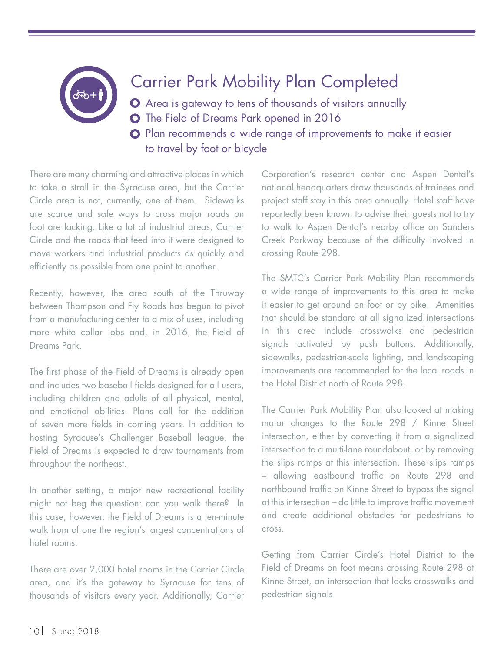## Carrier Park Mobility Plan Completed

Area is gateway to tens of thousands of visitors annually O The Field of Dreams Park opened in 2016 **O** Plan recommends a wide range of improvements to make it easier to travel by foot or bicycle

There are many charming and attractive places in which to take a stroll in the Syracuse area, but the Carrier Circle area is not, currently, one of them. Sidewalks are scarce and safe ways to cross major roads on foot are lacking. Like a lot of industrial areas, Carrier Circle and the roads that feed into it were designed to move workers and industrial products as quickly and efficiently as possible from one point to another.

Recently, however, the area south of the Thruway between Thompson and Fly Roads has begun to pivot from a manufacturing center to a mix of uses, including more white collar jobs and, in 2016, the Field of Dreams Park.

The first phase of the Field of Dreams is already open and includes two baseball fields designed for all users, including children and adults of all physical, mental, and emotional abilities. Plans call for the addition of seven more fields in coming years. In addition to hosting Syracuse's Challenger Baseball league, the Field of Dreams is expected to draw tournaments from throughout the northeast.

In another setting, a major new recreational facility might not beg the question: can you walk there? In this case, however, the Field of Dreams is a ten-minute walk from of one the region's largest concentrations of hotel rooms.

There are over 2,000 hotel rooms in the Carrier Circle area, and it's the gateway to Syracuse for tens of thousands of visitors every year. Additionally, Carrier

Corporation's research center and Aspen Dental's national headquarters draw thousands of trainees and project staff stay in this area annually. Hotel staff have reportedly been known to advise their guests not to try to walk to Aspen Dental's nearby office on Sanders Creek Parkway because of the difficulty involved in crossing Route 298.

The SMTC's [Carrier Park Mobility Plan](http://www.smtcmpo.org/docs/reports/Carrier_Park_Mobility_Plan_FINAL.pdf) recommends a wide range of improvements to this area to make it easier to get around on foot or by bike. Amenities that should be standard at all signalized intersections in this area include crosswalks and pedestrian signals activated by push buttons. Additionally, sidewalks, pedestrian-scale lighting, and landscaping improvements are recommended for the local roads in the Hotel District north of Route 298.

The Carrier Park Mobility Plan also looked at making major changes to the Route 298 / Kinne Street intersection, either by converting it from a signalized intersection to a multi-lane roundabout, or by removing the slips ramps at this intersection. These slips ramps – allowing eastbound traffic on Route 298 and northbound traffic on Kinne Street to bypass the signal at this intersection – do little to improve traffic movement and create additional obstacles for pedestrians to cross.

Getting from Carrier Circle's Hotel District to the Field of Dreams on foot means crossing Route 298 at Kinne Street, an intersection that lacks crosswalks and pedestrian signals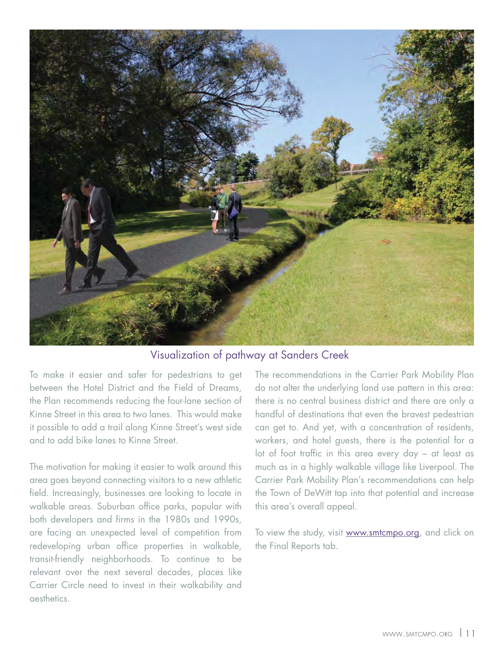

Visualization of pathway at Sanders Creek

To make it easier and safer for pedestrians to get between the Hotel District and the Field of Dreams, the Plan recommends reducing the four-lane section of Kinne Street in this area to two lanes. This would make it possible to add a trail along Kinne Street's west side and to add bike lanes to Kinne Street.

The motivation for making it easier to walk around this area goes beyond connecting visitors to a new athletic field. Increasingly, businesses are looking to locate in walkable areas. Suburban office parks, popular with both developers and firms in the 1980s and 1990s, are facing an unexpected level of competition from redeveloping urban office properties in walkable, transit-friendly neighborhoods. To continue to be relevant over the next several decades, places like Carrier Circle need to invest in their walkability and aesthetics.

The recommendations in the Carrier Park Mobility Plan do not alter the underlying land use pattern in this area: there is no central business district and there are only a handful of destinations that even the bravest pedestrian can get to. And yet, with a concentration of residents, workers, and hotel guests, there is the potential for a lot of foot traffic in this area every day  $-$  at least as much as in a highly walkable village like Liverpool. The Carrier Park Mobility Plan's recommendations can help the Town of DeWitt tap into that potential and increase this area's overall appeal.

To view the study, visit www.smtcmpo.org, and click on the Final Reports tab.